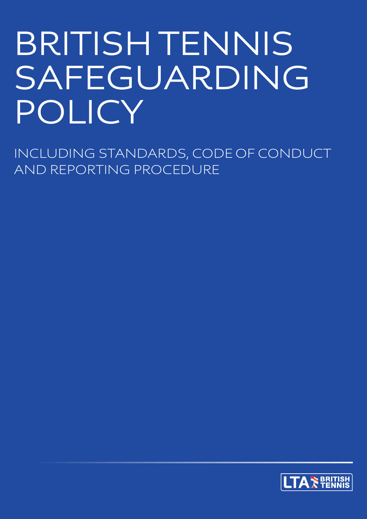# BRITISH TENNIS SAFEGUARDING POLICY

INCLUDING STANDARDS, CODE OF CONDUCT AND REPORTING PROCEDURE

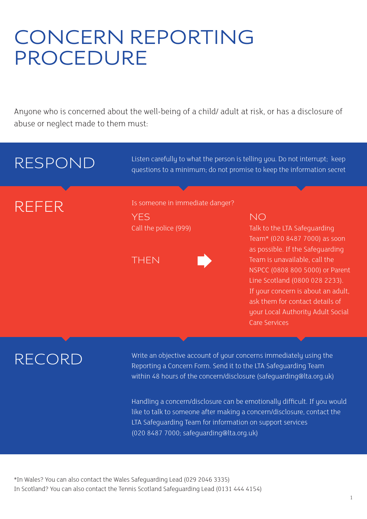### CONCERN REPORTING PROCEDURE

Anyone who is concerned about the well-being of a child/ adult at risk, or has a disclosure of abuse or neglect made to them must:

### RESPOND REFER YES Call the police (999) NO Talk to the LTA Safeguarding Team\* (020 8487 7000) as soon as possible. If the Safeguarding Team is unavailable, call the NSPCC (0808 800 5000) or Parent Line Scotland (0800 028 2233). If your concern is about an adult, ask them for contact details of your Local Authority Adult Social Care Services Listen carefully to what the person is telling you. Do not interrupt: keep questions to a minimum; do not promise to keep the information secret Is someone in immediate danger? **THEN**

### RECORD

Write an objective account of your concerns immediately using the Reporting a Concern Form. Send it to the LTA Safeguarding Team within 48 hours of the concern/disclosure (safeguarding@lta.org.uk)

Handling a concern/disclosure can be emotionally difficult. If you would like to talk to someone after making a concern/disclosure, contact the LTA Safeguarding Team for information on support services (020 8487 7000; safeguarding@lta.org.uk)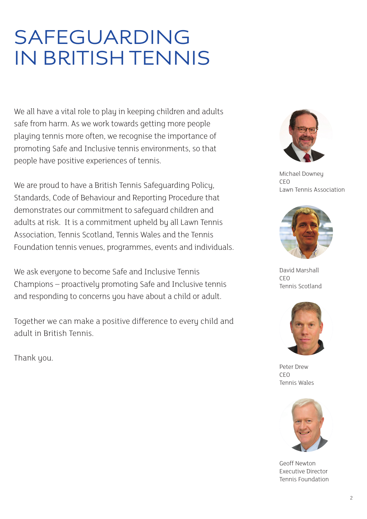### SAFEGUARDING IN BRITISH TENNIS

We all have a vital role to play in keeping children and adults safe from harm. As we work towards getting more people playing tennis more often, we recognise the importance of promoting Safe and Inclusive tennis environments, so that people have positive experiences of tennis.

We are proud to have a British Tennis Safeguarding Policy, Standards, Code of Behaviour and Reporting Procedure that demonstrates our commitment to safeguard children and adults at risk. It is a commitment upheld by all Lawn Tennis Association, Tennis Scotland, Tennis Wales and the Tennis Foundation tennis venues, programmes, events and individuals.

We ask everyone to become Safe and Inclusive Tennis Champions – proactively promoting Safe and Inclusive tennis and responding to concerns you have about a child or adult.

Together we can make a positive difference to every child and adult in British Tennis.

Thank you.



Michael Downey CEO Lawn Tennis Association



David Marshall CEO Tennis Scotland



Peter Drew CEO Tennis Wales



Geoff Newton Executive Director Tennis Foundation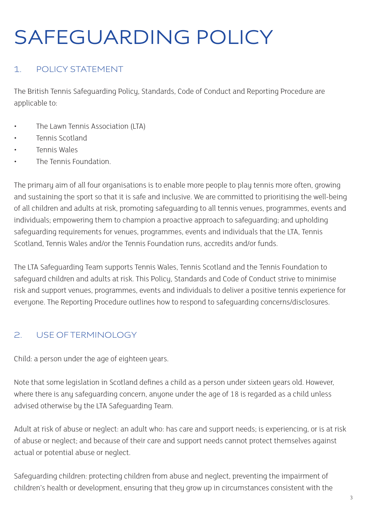## SAFEGUARDING POLICY

### 1. POLICY STATEMENT

The British Tennis Safeguarding Policy, Standards, Code of Conduct and Reporting Procedure are applicable to:

- The Lawn Tennis Association (LTA)
- Tennis Scotland
- Tennis Wales
- The Tennis Foundation.

The primary aim of all four organisations is to enable more people to play tennis more often, growing and sustaining the sport so that it is safe and inclusive. We are committed to prioritising the well-being of all children and adults at risk, promoting safeguarding to all tennis venues, programmes, events and individuals; empowering them to champion a proactive approach to safeguarding; and upholding safeguarding requirements for venues, programmes, events and individuals that the LTA, Tennis Scotland, Tennis Wales and/or the Tennis Foundation runs, accredits and/or funds.

The LTA Safeguarding Team supports Tennis Wales, Tennis Scotland and the Tennis Foundation to safeguard children and adults at risk. This Policy, Standards and Code of Conduct strive to minimise risk and support venues, programmes, events and individuals to deliver a positive tennis experience for everyone. The Reporting Procedure outlines how to respond to safeguarding concerns/disclosures.

### 2. USE OF TERMINOLOGY

Child: a person under the age of eighteen years.

Note that some legislation in Scotland defines a child as a person under sixteen years old. However, where there is any safeguarding concern, anyone under the age of 18 is regarded as a child unless advised otherwise by the LTA Safeguarding Team.

Adult at risk of abuse or neglect: an adult who: has care and support needs; is experiencing, or is at risk of abuse or neglect; and because of their care and support needs cannot protect themselves against actual or potential abuse or neglect.

Safeguarding children: protecting children from abuse and neglect, preventing the impairment of children's health or development, ensuring that they grow up in circumstances consistent with the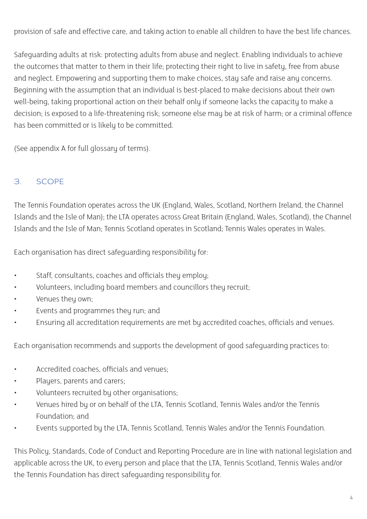provision of safe and effective care, and taking action to enable all children to have the best life chances.

Safeguarding adults at risk: protecting adults from abuse and neglect. Enabling individuals to achieve the outcomes that matter to them in their life; protecting their right to live in safety, free from abuse and neglect. Empowering and supporting them to make choices, stay safe and raise any concerns. Beginning with the assumption that an individual is best-placed to make decisions about their own well-being, taking proportional action on their behalf only if someone lacks the capacity to make a decision; is exposed to a life-threatening risk; someone else may be at risk of harm; or a criminal offence has been committed or is likely to be committed.

(See appendix A for full glossary of terms).

### 3. SCOPE

The Tennis Foundation operates across the UK (England, Wales, Scotland, Northern Ireland, the Channel Islands and the Isle of Man); the LTA operates across Great Britain (England, Wales, Scotland), the Channel Islands and the Isle of Man; Tennis Scotland operates in Scotland; Tennis Wales operates in Wales.

Each organisation has direct safeguarding responsibility for:

- Staff, consultants, coaches and officials they employ;
- Volunteers, including board members and councillors they recruit;
- Venues they own;
- Events and programmes they run; and
- Ensuring all accreditation requirements are met by accredited coaches, officials and venues.

Each organisation recommends and supports the development of good safeguarding practices to:

- Accredited coaches, officials and venues;
- Players, parents and carers;
- Volunteers recruited by other organisations;
- Venues hired by or on behalf of the LTA, Tennis Scotland, Tennis Wales and/or the Tennis Foundation; and
- Events supported by the LTA, Tennis Scotland, Tennis Wales and/or the Tennis Foundation.

This Policy, Standards, Code of Conduct and Reporting Procedure are in line with national legislation and applicable across the UK, to every person and place that the LTA, Tennis Scotland, Tennis Wales and/or the Tennis Foundation has direct safeguarding responsibility for.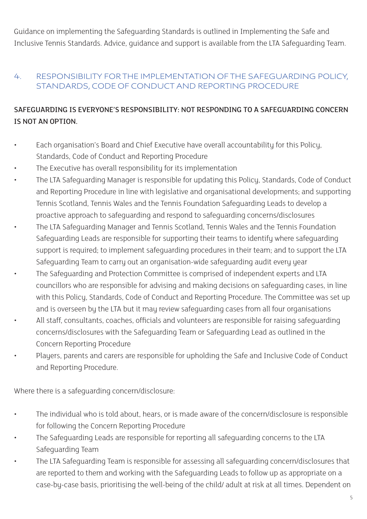Guidance on implementing the Safeguarding Standards is outlined in Implementing the Safe and Inclusive Tennis Standards. Advice, guidance and support is available from the LTA Safeguarding Team.

#### 4. RESPONSIBILITY FOR THE IMPLEMENTATION OF THE SAFEGUARDING POLICY, STANDARDS, CODE OF CONDUCT AND REPORTING PROCEDURE

### SAFEGUARDING IS EVERYONE'S RESPONSIBILITY: NOT RESPONDING TO A SAFEGUARDING CONCERN IS NOT AN OPTION.

- Each organisation's Board and Chief Executive have overall accountability for this Policy, Standards, Code of Conduct and Reporting Procedure
- The Executive has overall responsibility for its implementation
- The LTA Safeguarding Manager is responsible for updating this Policy, Standards, Code of Conduct and Reporting Procedure in line with legislative and organisational developments; and supporting Tennis Scotland, Tennis Wales and the Tennis Foundation Safeguarding Leads to develop a proactive approach to safeguarding and respond to safeguarding concerns/disclosures
- The LTA Safeguarding Manager and Tennis Scotland, Tennis Wales and the Tennis Foundation Safeguarding Leads are responsible for supporting their teams to identify where safeguarding support is required; to implement safeguarding procedures in their team; and to support the LTA Safeguarding Team to carry out an organisation-wide safeguarding audit every year
- The Safeguarding and Protection Committee is comprised of independent experts and LTA councillors who are responsible for advising and making decisions on safeguarding cases, in line with this Policy, Standards, Code of Conduct and Reporting Procedure. The Committee was set up and is overseen by the LTA but it may review safeguarding cases from all four organisations
- All staff, consultants, coaches, officials and volunteers are responsible for raising safeguarding concerns/disclosures with the Safeguarding Team or Safeguarding Lead as outlined in the Concern Reporting Procedure
- Players, parents and carers are responsible for upholding the Safe and Inclusive Code of Conduct and Reporting Procedure.

Where there is a safeguarding concern/disclosure:

- The individual who is told about, hears, or is made aware of the concern/disclosure is responsible for following the Concern Reporting Procedure
- The Safeguarding Leads are responsible for reporting all safeguarding concerns to the LTA Safeguarding Team
- The LTA Safeguarding Team is responsible for assessing all safeguarding concern/disclosures that are reported to them and working with the Safeguarding Leads to follow up as appropriate on a case-by-case basis, prioritising the well-being of the child/ adult at risk at all times. Dependent on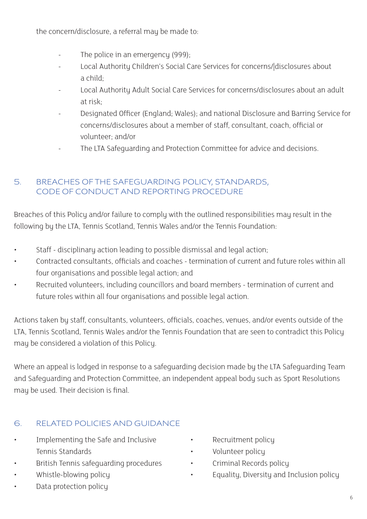the concern/disclosure, a referral may be made to:

- The police in an emergency (999);
- Local Authority Children's Social Care Services for concerns/|disclosures about a child;
- Local Authority Adult Social Care Services for concerns/disclosures about an adult at risk;
- Designated Officer (England; Wales); and national Disclosure and Barring Service for concerns/disclosures about a member of staff, consultant, coach, official or volunteer; and/or
- The LTA Safeguarding and Protection Committee for advice and decisions.

### 5. BREACHES OF THE SAFEGUARDING POLICY, STANDARDS, CODE OF CONDUCT AND REPORTING PROCEDURE

Breaches of this Policy and/or failure to comply with the outlined responsibilities may result in the following by the LTA, Tennis Scotland, Tennis Wales and/or the Tennis Foundation:

- Staff disciplinary action leading to possible dismissal and legal action;
- Contracted consultants, officials and coaches termination of current and future roles within all four organisations and possible legal action; and
- Recruited volunteers, including councillors and board members termination of current and future roles within all four organisations and possible legal action.

Actions taken by staff, consultants, volunteers, officials, coaches, venues, and/or events outside of the LTA, Tennis Scotland, Tennis Wales and/or the Tennis Foundation that are seen to contradict this Policy may be considered a violation of this Policy.

Where an appeal is lodged in response to a safeguarding decision made by the LTA Safeguarding Team and Safeguarding and Protection Committee, an independent appeal body such as Sport Resolutions may be used. Their decision is final.

### 6. RELATED POLICIES AND GUIDANCE

- Implementing the Safe and Inclusive Tennis Standards
- British Tennis safeguarding procedures
- Whistle-blowing policy
- Data protection policy
- Recruitment policy
- Volunteer policy
- Criminal Records policy
- Equality, Diversity and Inclusion policy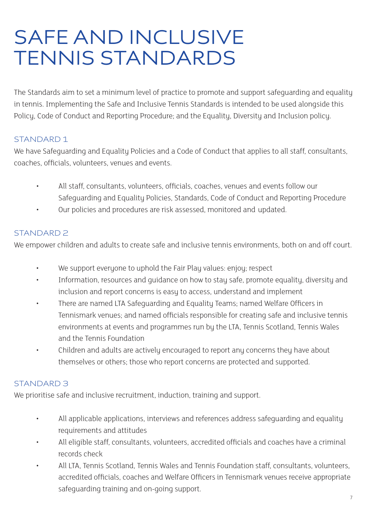### SAFE AND INCLUSIVE TENNIS STANDARDS

The Standards aim to set a minimum level of practice to promote and support safeguarding and equality in tennis. Implementing the Safe and Inclusive Tennis Standards is intended to be used alongside this Policy, Code of Conduct and Reporting Procedure; and the Equality, Diversity and Inclusion policy.

### STANDARD 1

We have Safeguarding and Equality Policies and a Code of Conduct that applies to all staff, consultants, coaches, officials, volunteers, venues and events.

- All staff, consultants, volunteers, officials, coaches, venues and events follow our Safeguarding and Equality Policies, Standards, Code of Conduct and Reporting Procedure
	- Our policies and procedures are risk assessed, monitored and updated.

#### STANDARD 2

We empower children and adults to create safe and inclusive tennis environments, both on and off court.

- We support everyone to uphold the Fair Play values: enjoy; respect
- Information, resources and guidance on how to stay safe, promote equality, diversity and inclusion and report concerns is easy to access, understand and implement
- There are named LTA Safeguarding and Equality Teams; named Welfare Officers in Tennismark venues; and named officials responsible for creating safe and inclusive tennis environments at events and programmes run by the LTA, Tennis Scotland, Tennis Wales and the Tennis Foundation
- Children and adults are actively encouraged to report any concerns they have about themselves or others; those who report concerns are protected and supported.

#### STANDARD 3

We prioritise safe and inclusive recruitment, induction, training and support.

- All applicable applications, interviews and references address safeguarding and equality requirements and attitudes
- All eligible staff, consultants, volunteers, accredited officials and coaches have a criminal records check
- All LTA, Tennis Scotland, Tennis Wales and Tennis Foundation staff, consultants, volunteers, accredited officials, coaches and Welfare Officers in Tennismark venues receive appropriate safeguarding training and on-going support.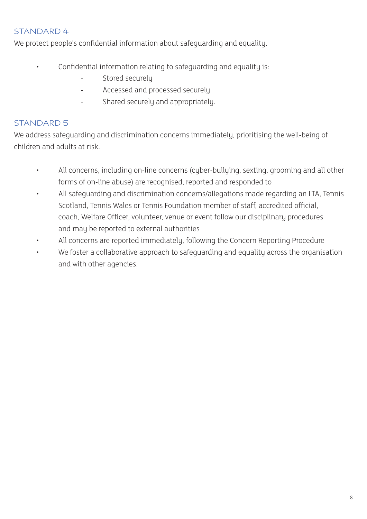#### STANDARD 4

We protect people's confidential information about safeguarding and equality.

- Confidential information relating to safeguarding and equality is:
	- Stored securely
	- Accessed and processed securely
	- Shared securely and appropriately.

### STANDARD 5

We address safeguarding and discrimination concerns immediately, prioritising the well-being of children and adults at risk.

- All concerns, including on-line concerns (cyber-bullying, sexting, grooming and all other forms of on-line abuse) are recognised, reported and responded to
- All safeguarding and discrimination concerns/allegations made regarding an LTA, Tennis Scotland, Tennis Wales or Tennis Foundation member of staff, accredited official, coach, Welfare Officer, volunteer, venue or event follow our disciplinary procedures and may be reported to external authorities
- All concerns are reported immediately, following the Concern Reporting Procedure
- We foster a collaborative approach to safeguarding and equality across the organisation and with other agencies.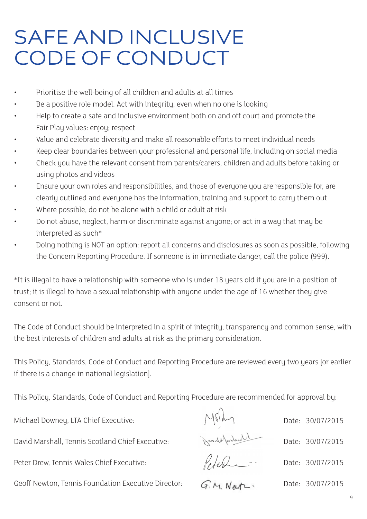### SAFE AND INCLUSIVE CODE OF CONDUCT

- Prioritise the well-being of all children and adults at all times
- Be a positive role model. Act with integrity, even when no one is looking
- Help to create a safe and inclusive environment both on and off court and promote the Fair Play values: enjoy; respect
- Value and celebrate diversity and make all reasonable efforts to meet individual needs
- Keep clear boundaries between your professional and personal life, including on social media
- Check you have the relevant consent from parents/carers, children and adults before taking or using photos and videos
- Ensure your own roles and responsibilities, and those of everyone you are responsible for, are clearly outlined and everyone has the information, training and support to carry them out
- Where possible, do not be alone with a child or adult at risk
- Do not abuse, neglect, harm or discriminate against anyone; or act in a way that may be interpreted as such\*
- Doing nothing is NOT an option: report all concerns and disclosures as soon as possible, following the Concern Reporting Procedure. If someone is in immediate danger, call the police (999).

\*It is illegal to have a relationship with someone who is under 18 years old if you are in a position of trust; it is illegal to have a sexual relationship with anyone under the age of 16 whether they give consent or not.

The Code of Conduct should be interpreted in a spirit of integrity, transparency and common sense, with the best interests of children and adults at risk as the primary consideration.

This Policy, Standards, Code of Conduct and Reporting Procedure are reviewed every two years [or earlier if there is a change in national legislation].

This Policy, Standards, Code of Conduct and Reporting Procedure are recommended for approval by:

Michael Downey, LTA Chief Executive:

David Marshall, Tennis Scotland Chief Executive:

Peter Drew, Tennis Wales Chief Executive:

Geoff Newton, Tennis Foundation Executive Director:

G.M. Nat-

Peter

Date: 30/07/2015

Date: 30/07/2015

Date: 30/07/2015

Date: 30/07/2015

 $\alpha$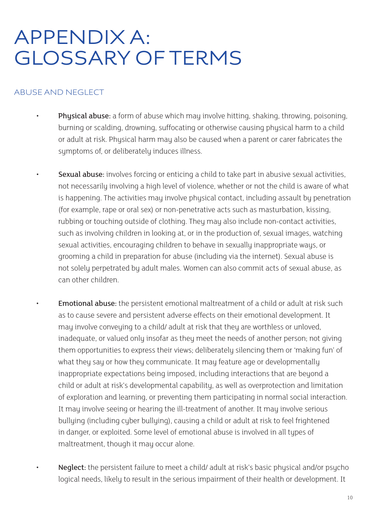### APPENDIX A: GLOSSARY OF TERMS

#### ABUSE AND NEGLECT

- **Physical abuse:** a form of abuse which may involve hitting, shaking, throwing, poisoning, burning or scalding, drowning, suffocating or otherwise causing physical harm to a child or adult at risk. Physical harm may also be caused when a parent or carer fabricates the symptoms of, or deliberately induces illness.
- Sexual abuse: involves forcing or enticing a child to take part in abusive sexual activities, not necessarily involving a high level of violence, whether or not the child is aware of what is happening. The activities may involve physical contact, including assault by penetration (for example, rape or oral sex) or non-penetrative acts such as masturbation, kissing, rubbing or touching outside of clothing. They may also include non-contact activities, such as involving children in looking at, or in the production of, sexual images, watching sexual activities, encouraging children to behave in sexually inappropriate ways, or grooming a child in preparation for abuse (including via the internet). Sexual abuse is not solely perpetrated by adult males. Women can also commit acts of sexual abuse, as can other children.
	- **Emotional abuse:** the persistent emotional maltreatment of a child or adult at risk such as to cause severe and persistent adverse effects on their emotional development. It may involve conveying to a child/ adult at risk that they are worthless or unloved, inadequate, or valued only insofar as they meet the needs of another person; not giving them opportunities to express their views; deliberately silencing them or 'making fun' of what they say or how they communicate. It may feature age or developmentally inappropriate expectations being imposed, including interactions that are beyond a child or adult at risk's developmental capability, as well as overprotection and limitation of exploration and learning, or preventing them participating in normal social interaction. It may involve seeing or hearing the ill-treatment of another. It may involve serious bullying (including cyber bullying), causing a child or adult at risk to feel frightened in danger, or exploited. Some level of emotional abuse is involved in all types of maltreatment, though it may occur alone.
- Neglect: the persistent failure to meet a child/ adult at risk's basic physical and/or psycho logical needs, likely to result in the serious impairment of their health or development. It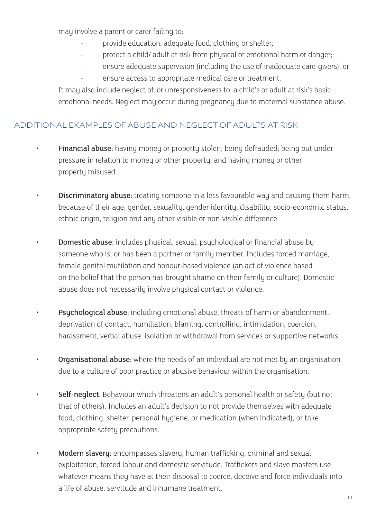may involve a parent or carer failing to:

- provide education, adequate food, clothing or shelter;
- protect a child/ adult at risk from physical or emotional harm or danger;
- ensure adequate supervision (including the use of inadequate care-givers); or
	- ensure access to appropriate medical care or treatment.

 It may also include neglect of, or unresponsiveness to, a child's or adult at risk's basic emotional needs. Neglect may occur during pregnancy due to maternal substance abuse.

### ADDITIONAL EXAMPLES OF ABUSE AND NEGLECT OF ADULTS AT RISK

- Financial abuse: having money or property stolen; being defrauded; being put under pressure in relation to money or other property; and having money or other property misused.
- **Discriminatory abuse:** treating someone in a less favourable way and causing them harm, because of their age, gender, sexuality, gender identity, disability, socio-economic status, ethnic origin, religion and any other visible or non-visible difference.
- **Domestic abuse:** includes physical, sexual, psychological or financial abuse by someone who is, or has been a partner or family member. Includes forced marriage, female genital mutilation and honour-based violence (an act of violence based on the belief that the person has brought shame on their family or culture). Domestic abuse does not necessarily involve physical contact or violence.
- Psychological abuse: including emotional abuse, threats of harm or abandonment, deprivation of contact, humiliation, blaming, controlling, intimidation, coercion, harassment, verbal abuse, isolation or withdrawal from services or supportive networks.
- Organisational abuse: where the needs of an individual are not met by an organisation due to a culture of poor practice or abusive behaviour within the organisation.
- Self-neglect: Behaviour which threatens an adult's personal health or safety (but not that of others). Includes an adult's decision to not provide themselves with adequate food, clothing, shelter, personal hygiene, or medication (when indicated), or take appropriate safety precautions.
- Modern slavery: encompasses slavery, human trafficking, criminal and sexual exploitation, forced labour and domestic servitude. Traffickers and slave masters use whatever means they have at their disposal to coerce, deceive and force individuals into a life of abuse, servitude and inhumane treatment.